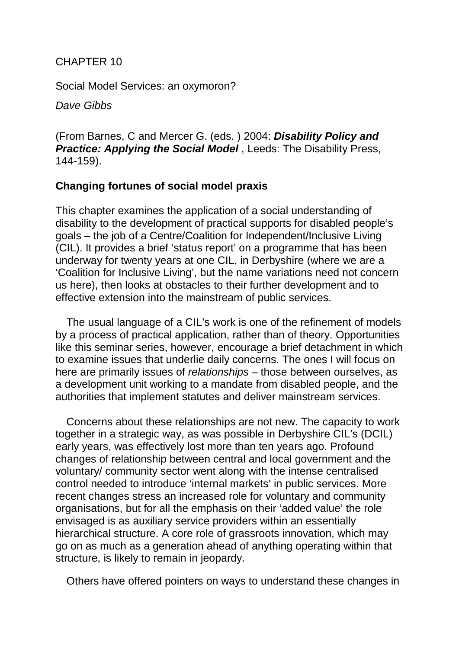## CHAPTER 10

Social Model Services: an oxymoron?

*Dave Gibbs* 

(From Barnes, C and Mercer G. (eds. ) 2004: *Disability Policy and Practice: Applying the Social Model*, Leeds: The Disability Press, 144-159).

## **Changing fortunes of social model praxis**

This chapter examines the application of a social understanding of disability to the development of practical supports for disabled people's goals – the job of a Centre/Coalition for Independent/Inclusive Living (CIL). It provides a brief 'status report' on a programme that has been underway for twenty years at one CIL, in Derbyshire (where we are a 'Coalition for Inclusive Living', but the name variations need not concern us here), then looks at obstacles to their further development and to effective extension into the mainstream of public services.

The usual language of a CIL's work is one of the refinement of models by a process of practical application, rather than of theory. Opportunities like this seminar series, however, encourage a brief detachment in which to examine issues that underlie daily concerns. The ones I will focus on here are primarily issues of *relationships* – those between ourselves, as a development unit working to a mandate from disabled people, and the authorities that implement statutes and deliver mainstream services.

Concerns about these relationships are not new. The capacity to work together in a strategic way, as was possible in Derbyshire CIL's (DCIL) early years, was effectively lost more than ten years ago. Profound changes of relationship between central and local government and the voluntary/ community sector went along with the intense centralised control needed to introduce 'internal markets' in public services. More recent changes stress an increased role for voluntary and community organisations, but for all the emphasis on their 'added value' the role envisaged is as auxiliary service providers within an essentially hierarchical structure. A core role of grassroots innovation, which may go on as much as a generation ahead of anything operating within that structure, is likely to remain in jeopardy.

Others have offered pointers on ways to understand these changes in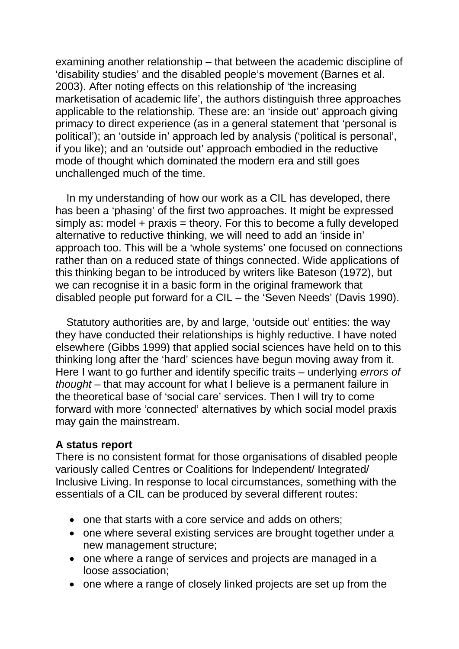examining another relationship – that between the academic discipline of 'disability studies' and the disabled people's movement (Barnes et al. 2003). After noting effects on this relationship of 'the increasing marketisation of academic life', the authors distinguish three approaches applicable to the relationship. These are: an 'inside out' approach giving primacy to direct experience (as in a general statement that 'personal is political'); an 'outside in' approach led by analysis ('political is personal', if you like); and an 'outside out' approach embodied in the reductive mode of thought which dominated the modern era and still goes unchallenged much of the time.

In my understanding of how our work as a CIL has developed, there has been a 'phasing' of the first two approaches. It might be expressed simply as: model  $+$  praxis = theory. For this to become a fully developed alternative to reductive thinking, we will need to add an 'inside in' approach too. This will be a 'whole systems' one focused on connections rather than on a reduced state of things connected. Wide applications of this thinking began to be introduced by writers like Bateson (1972), but we can recognise it in a basic form in the original framework that disabled people put forward for a CIL – the 'Seven Needs' (Davis 1990).

Statutory authorities are, by and large, 'outside out' entities: the way they have conducted their relationships is highly reductive. I have noted elsewhere (Gibbs 1999) that applied social sciences have held on to this thinking long after the 'hard' sciences have begun moving away from it. Here I want to go further and identify specific traits – underlying *errors of thought* – that may account for what I believe is a permanent failure in the theoretical base of 'social care' services. Then I will try to come forward with more 'connected' alternatives by which social model praxis may gain the mainstream.

### **A status report**

There is no consistent format for those organisations of disabled people variously called Centres or Coalitions for Independent/ Integrated/ Inclusive Living. In response to local circumstances, something with the essentials of a CIL can be produced by several different routes:

- one that starts with a core service and adds on others;
- one where several existing services are brought together under a new management structure;
- one where a range of services and projects are managed in a loose association;
- one where a range of closely linked projects are set up from the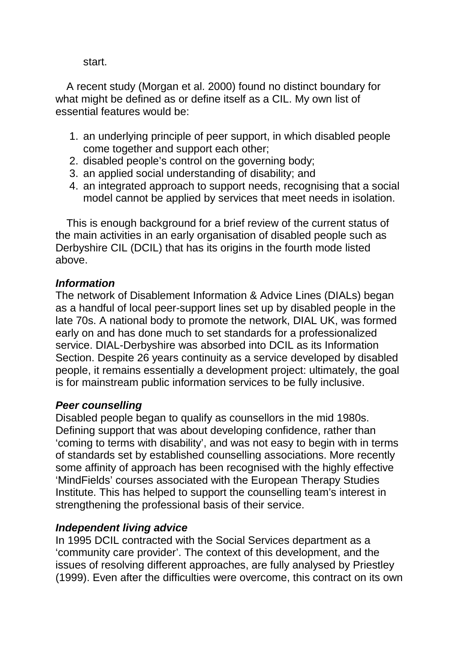start.

A recent study (Morgan et al. 2000) found no distinct boundary for what might be defined as or define itself as a CIL. My own list of essential features would be:

- 1. an underlying principle of peer support, in which disabled people come together and support each other;
- 2. disabled people's control on the governing body;
- 3. an applied social understanding of disability; and
- 4. an integrated approach to support needs, recognising that a social model cannot be applied by services that meet needs in isolation.

This is enough background for a brief review of the current status of the main activities in an early organisation of disabled people such as Derbyshire CIL (DCIL) that has its origins in the fourth mode listed above.

## *Information*

The network of Disablement Information & Advice Lines (DIALs) began as a handful of local peer-support lines set up by disabled people in the late 70s. A national body to promote the network, DIAL UK, was formed early on and has done much to set standards for a professionalized service. DIAL-Derbyshire was absorbed into DCIL as its Information Section. Despite 26 years continuity as a service developed by disabled people, it remains essentially a development project: ultimately, the goal is for mainstream public information services to be fully inclusive.

# *Peer counselling*

Disabled people began to qualify as counsellors in the mid 1980s. Defining support that was about developing confidence, rather than 'coming to terms with disability', and was not easy to begin with in terms of standards set by established counselling associations. More recently some affinity of approach has been recognised with the highly effective 'MindFields' courses associated with the European Therapy Studies Institute. This has helped to support the counselling team's interest in strengthening the professional basis of their service.

# *Independent living advice*

In 1995 DCIL contracted with the Social Services department as a 'community care provider'. The context of this development, and the issues of resolving different approaches, are fully analysed by Priestley (1999). Even after the difficulties were overcome, this contract on its own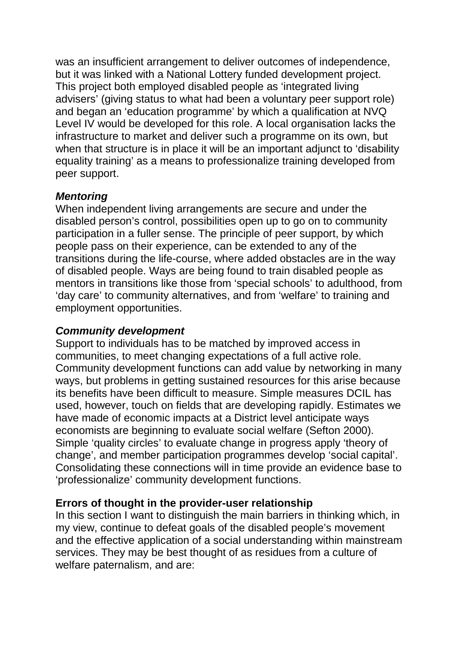was an insufficient arrangement to deliver outcomes of independence, but it was linked with a National Lottery funded development project. This project both employed disabled people as 'integrated living advisers' (giving status to what had been a voluntary peer support role) and began an 'education programme' by which a qualification at NVQ Level IV would be developed for this role. A local organisation lacks the infrastructure to market and deliver such a programme on its own, but when that structure is in place it will be an important adjunct to 'disability equality training' as a means to professionalize training developed from peer support.

## *Mentoring*

When independent living arrangements are secure and under the disabled person's control, possibilities open up to go on to community participation in a fuller sense. The principle of peer support, by which people pass on their experience, can be extended to any of the transitions during the life-course, where added obstacles are in the way of disabled people. Ways are being found to train disabled people as mentors in transitions like those from 'special schools' to adulthood, from 'day care' to community alternatives, and from 'welfare' to training and employment opportunities.

## *Community development*

Support to individuals has to be matched by improved access in communities, to meet changing expectations of a full active role. Community development functions can add value by networking in many ways, but problems in getting sustained resources for this arise because its benefits have been difficult to measure. Simple measures DCIL has used, however, touch on fields that are developing rapidly. Estimates we have made of economic impacts at a District level anticipate ways economists are beginning to evaluate social welfare (Sefton 2000). Simple 'quality circles' to evaluate change in progress apply 'theory of change', and member participation programmes develop 'social capital'. Consolidating these connections will in time provide an evidence base to 'professionalize' community development functions.

## **Errors of thought in the provider-user relationship**

In this section I want to distinguish the main barriers in thinking which, in my view, continue to defeat goals of the disabled people's movement and the effective application of a social understanding within mainstream services. They may be best thought of as residues from a culture of welfare paternalism, and are: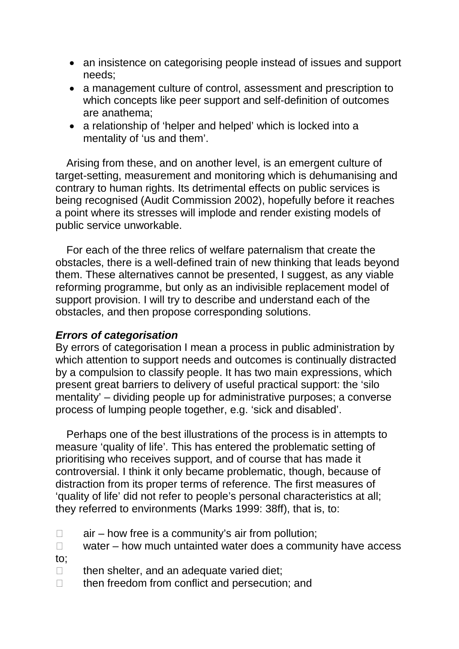- an insistence on categorising people instead of issues and support needs;
- a management culture of control, assessment and prescription to which concepts like peer support and self-definition of outcomes are anathema;
- a relationship of 'helper and helped' which is locked into a mentality of 'us and them'.

Arising from these, and on another level, is an emergent culture of target-setting, measurement and monitoring which is dehumanising and contrary to human rights. Its detrimental effects on public services is being recognised (Audit Commission 2002), hopefully before it reaches a point where its stresses will implode and render existing models of public service unworkable.

For each of the three relics of welfare paternalism that create the obstacles, there is a well-defined train of new thinking that leads beyond them. These alternatives cannot be presented, I suggest, as any viable reforming programme, but only as an indivisible replacement model of support provision. I will try to describe and understand each of the obstacles, and then propose corresponding solutions.

### *Errors of categorisation*

By errors of categorisation I mean a process in public administration by which attention to support needs and outcomes is continually distracted by a compulsion to classify people. It has two main expressions, which present great barriers to delivery of useful practical support: the 'silo mentality' – dividing people up for administrative purposes; a converse process of lumping people together, e.g. 'sick and disabled'.

Perhaps one of the best illustrations of the process is in attempts to measure 'quality of life'. This has entered the problematic setting of prioritising who receives support, and of course that has made it controversial. I think it only became problematic, though, because of distraction from its proper terms of reference. The first measures of 'quality of life' did not refer to people's personal characteristics at all; they referred to environments (Marks 1999: 38ff), that is, to:

- $\Box$  air how free is a community's air from pollution;
- $\Box$  water how much untainted water does a community have access
- to;
- $\Box$  then shelter, and an adequate varied diet;
- $\Box$  then freedom from conflict and persecution; and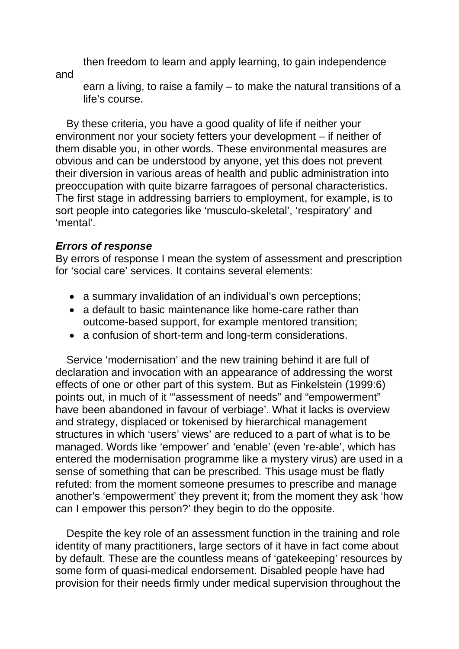then freedom to learn and apply learning, to gain independence

and

earn a living, to raise a family – to make the natural transitions of a life's course.

By these criteria, you have a good quality of life if neither your environment nor your society fetters your development – if neither of them disable you, in other words. These environmental measures are obvious and can be understood by anyone, yet this does not prevent their diversion in various areas of health and public administration into preoccupation with quite bizarre farragoes of personal characteristics. The first stage in addressing barriers to employment, for example, is to sort people into categories like 'musculo-skeletal', 'respiratory' and 'mental'.

## *Errors of response*

By errors of response I mean the system of assessment and prescription for 'social care' services. It contains several elements:

- a summary invalidation of an individual's own perceptions;
- a default to basic maintenance like home-care rather than outcome-based support, for example mentored transition;
- a confusion of short-term and long-term considerations.

Service 'modernisation' and the new training behind it are full of declaration and invocation with an appearance of addressing the worst effects of one or other part of this system. But as Finkelstein (1999:6) points out, in much of it '"assessment of needs" and "empowerment" have been abandoned in favour of verbiage'. What it lacks is overview and strategy, displaced or tokenised by hierarchical management structures in which 'users' views' are reduced to a part of what is to be managed. Words like 'empower' and 'enable' (even 're-able', which has entered the modernisation programme like a mystery virus) are used in a sense of something that can be prescribed*.* This usage must be flatly refuted: from the moment someone presumes to prescribe and manage another's 'empowerment' they prevent it; from the moment they ask 'how can I empower this person?' they begin to do the opposite.

Despite the key role of an assessment function in the training and role identity of many practitioners, large sectors of it have in fact come about by default. These are the countless means of 'gatekeeping' resources by some form of quasi-medical endorsement. Disabled people have had provision for their needs firmly under medical supervision throughout the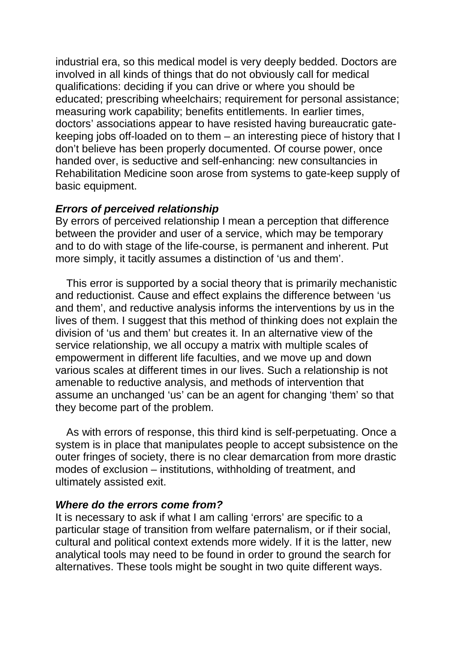industrial era, so this medical model is very deeply bedded. Doctors are involved in all kinds of things that do not obviously call for medical qualifications: deciding if you can drive or where you should be educated; prescribing wheelchairs; requirement for personal assistance; measuring work capability; benefits entitlements. In earlier times, doctors' associations appear to have resisted having bureaucratic gatekeeping jobs off-loaded on to them – an interesting piece of history that I don't believe has been properly documented. Of course power, once handed over, is seductive and self-enhancing: new consultancies in Rehabilitation Medicine soon arose from systems to gate-keep supply of basic equipment.

### *Errors of perceived relationship*

By errors of perceived relationship I mean a perception that difference between the provider and user of a service, which may be temporary and to do with stage of the life-course, is permanent and inherent. Put more simply, it tacitly assumes a distinction of 'us and them'.

This error is supported by a social theory that is primarily mechanistic and reductionist. Cause and effect explains the difference between 'us and them', and reductive analysis informs the interventions by us in the lives of them. I suggest that this method of thinking does not explain the division of 'us and them' but creates it. In an alternative view of the service relationship, we all occupy a matrix with multiple scales of empowerment in different life faculties, and we move up and down various scales at different times in our lives. Such a relationship is not amenable to reductive analysis, and methods of intervention that assume an unchanged 'us' can be an agent for changing 'them' so that they become part of the problem.

As with errors of response, this third kind is self-perpetuating. Once a system is in place that manipulates people to accept subsistence on the outer fringes of society, there is no clear demarcation from more drastic modes of exclusion – institutions, withholding of treatment, and ultimately assisted exit.

### *Where do the errors come from?*

It is necessary to ask if what I am calling 'errors' are specific to a particular stage of transition from welfare paternalism, or if their social, cultural and political context extends more widely. If it is the latter, new analytical tools may need to be found in order to ground the search for alternatives. These tools might be sought in two quite different ways.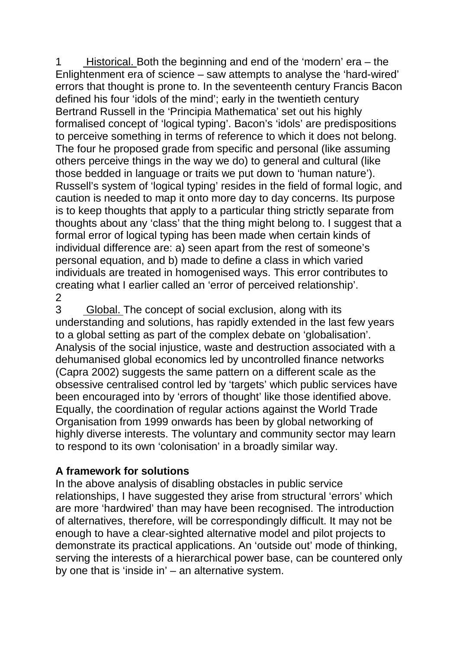1 Historical. Both the beginning and end of the 'modern' era – the 2 Enlightenment era of science – saw attempts to analyse the 'hard-wired' errors that thought is prone to. In the seventeenth century Francis Bacon defined his four 'idols of the mind'; early in the twentieth century Bertrand Russell in the 'Principia Mathematica' set out his highly formalised concept of 'logical typing'. Bacon's 'idols' are predispositions to perceive something in terms of reference to which it does not belong. The four he proposed grade from specific and personal (like assuming others perceive things in the way we do) to general and cultural (like those bedded in language or traits we put down to 'human nature'). Russell's system of 'logical typing' resides in the field of formal logic, and caution is needed to map it onto more day to day concerns. Its purpose is to keep thoughts that apply to a particular thing strictly separate from thoughts about any 'class' that the thing might belong to. I suggest that a formal error of logical typing has been made when certain kinds of individual difference are: a) seen apart from the rest of someone's personal equation, and b) made to define a class in which varied individuals are treated in homogenised ways. This error contributes to creating what I earlier called an 'error of perceived relationship'.

3 Global. The concept of social exclusion, along with its understanding and solutions, has rapidly extended in the last few years to a global setting as part of the complex debate on 'globalisation'. Analysis of the social injustice, waste and destruction associated with a dehumanised global economics led by uncontrolled finance networks (Capra 2002) suggests the same pattern on a different scale as the obsessive centralised control led by 'targets' which public services have been encouraged into by 'errors of thought' like those identified above. Equally, the coordination of regular actions against the World Trade Organisation from 1999 onwards has been by global networking of highly diverse interests. The voluntary and community sector may learn to respond to its own 'colonisation' in a broadly similar way.

# **A framework for solutions**

In the above analysis of disabling obstacles in public service relationships, I have suggested they arise from structural 'errors' which are more 'hardwired' than may have been recognised. The introduction of alternatives, therefore, will be correspondingly difficult. It may not be enough to have a clear-sighted alternative model and pilot projects to demonstrate its practical applications. An 'outside out' mode of thinking, serving the interests of a hierarchical power base, can be countered only by one that is 'inside in' – an alternative system.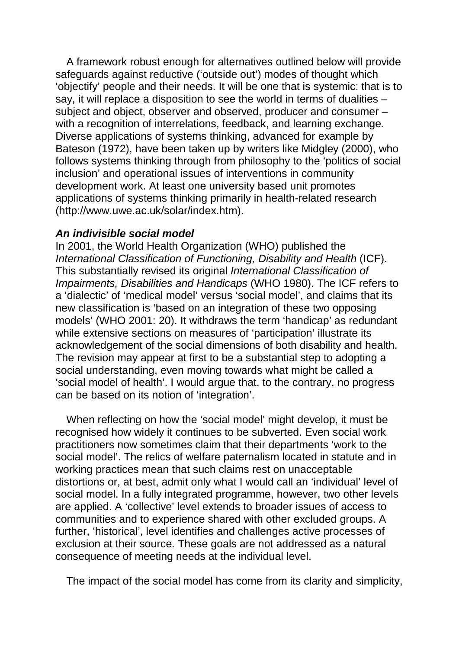A framework robust enough for alternatives outlined below will provide safeguards against reductive ('outside out') modes of thought which 'objectify' people and their needs. It will be one that is systemic: that is to say, it will replace a disposition to see the world in terms of dualities – subject and object, observer and observed, producer and consumer – with a recognition of interrelations, feedback, and learning exchange*.*  Diverse applications of systems thinking, advanced for example by Bateson (1972), have been taken up by writers like Midgley (2000), who follows systems thinking through from philosophy to the 'politics of social inclusion' and operational issues of interventions in community development work. At least one university based unit promotes applications of systems thinking primarily in health-related research (http://www.uwe.ac.uk/solar/index.htm).

### *An indivisible social model*

In 2001, the World Health Organization (WHO) published the *International Classification of Functioning, Disability and Health* (ICF). This substantially revised its original *International Classification of Impairments, Disabilities and Handicaps* (WHO 1980). The ICF refers to a 'dialectic' of 'medical model' versus 'social model', and claims that its new classification is 'based on an integration of these two opposing models' (WHO 2001: 20). It withdraws the term 'handicap' as redundant while extensive sections on measures of 'participation' illustrate its acknowledgement of the social dimensions of both disability and health. The revision may appear at first to be a substantial step to adopting a social understanding, even moving towards what might be called a 'social model of health'. I would argue that, to the contrary, no progress can be based on its notion of 'integration'.

When reflecting on how the 'social model' might develop, it must be recognised how widely it continues to be subverted. Even social work practitioners now sometimes claim that their departments 'work to the social model'. The relics of welfare paternalism located in statute and in working practices mean that such claims rest on unacceptable distortions or, at best, admit only what I would call an 'individual' level of social model. In a fully integrated programme, however, two other levels are applied. A 'collective' level extends to broader issues of access to communities and to experience shared with other excluded groups. A further, 'historical', level identifies and challenges active processes of exclusion at their source. These goals are not addressed as a natural consequence of meeting needs at the individual level.

The impact of the social model has come from its clarity and simplicity,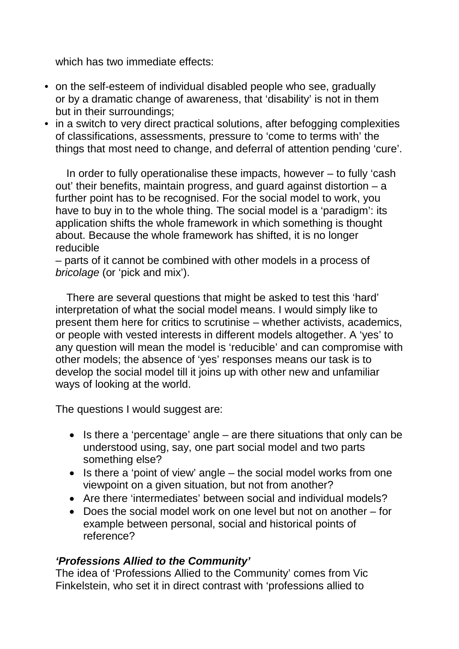which has two immediate effects:

- on the self-esteem of individual disabled people who see, gradually or by a dramatic change of awareness, that 'disability' is not in them but in their surroundings;
- in a switch to very direct practical solutions, after befogging complexities of classifications, assessments, pressure to 'come to terms with' the things that most need to change, and deferral of attention pending 'cure'.

In order to fully operationalise these impacts, however – to fully 'cash out' their benefits, maintain progress, and guard against distortion – a further point has to be recognised. For the social model to work, you have to buy in to the whole thing. The social model is a 'paradigm': its application shifts the whole framework in which something is thought about. Because the whole framework has shifted, it is no longer reducible

– parts of it cannot be combined with other models in a process of *bricolage* (or 'pick and mix').

There are several questions that might be asked to test this 'hard' interpretation of what the social model means. I would simply like to present them here for critics to scrutinise – whether activists, academics, or people with vested interests in different models altogether. A 'yes' to any question will mean the model is 'reducible' and can compromise with other models; the absence of 'yes' responses means our task is to develop the social model till it joins up with other new and unfamiliar ways of looking at the world.

The questions I would suggest are:

- Is there a 'percentage' angle are there situations that only can be understood using, say, one part social model and two parts something else?
- Is there a 'point of view' angle the social model works from one viewpoint on a given situation, but not from another?
- Are there 'intermediates' between social and individual models?
- Does the social model work on one level but not on another for example between personal, social and historical points of reference?

## *'Professions Allied to the Community'*

The idea of 'Professions Allied to the Community' comes from Vic Finkelstein, who set it in direct contrast with 'professions allied to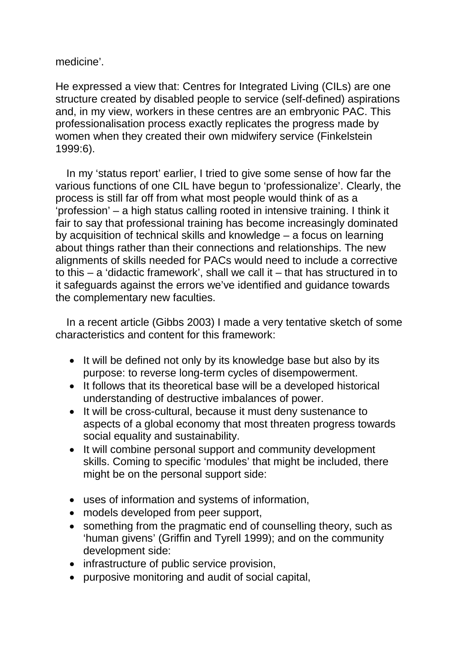medicine'.

He expressed a view that: Centres for Integrated Living (CILs) are one structure created by disabled people to service (self-defined) aspirations and, in my view, workers in these centres are an embryonic PAC. This professionalisation process exactly replicates the progress made by women when they created their own midwifery service (Finkelstein 1999:6).

In my 'status report' earlier, I tried to give some sense of how far the various functions of one CIL have begun to 'professionalize'. Clearly, the process is still far off from what most people would think of as a 'profession' – a high status calling rooted in intensive training. I think it fair to say that professional training has become increasingly dominated by acquisition of technical skills and knowledge – a focus on learning about things rather than their connections and relationships. The new alignments of skills needed for PACs would need to include a corrective to this – a 'didactic framework', shall we call it – that has structured in to it safeguards against the errors we've identified and guidance towards the complementary new faculties.

In a recent article (Gibbs 2003) I made a very tentative sketch of some characteristics and content for this framework:

- It will be defined not only by its knowledge base but also by its purpose: to reverse long-term cycles of disempowerment.
- It follows that its theoretical base will be a developed historical understanding of destructive imbalances of power.
- It will be cross-cultural, because it must deny sustenance to aspects of a global economy that most threaten progress towards social equality and sustainability.
- It will combine personal support and community development skills. Coming to specific 'modules' that might be included, there might be on the personal support side:
- uses of information and systems of information,
- models developed from peer support,
- something from the pragmatic end of counselling theory, such as 'human givens' (Griffin and Tyrell 1999); and on the community development side:
- infrastructure of public service provision,
- purposive monitoring and audit of social capital,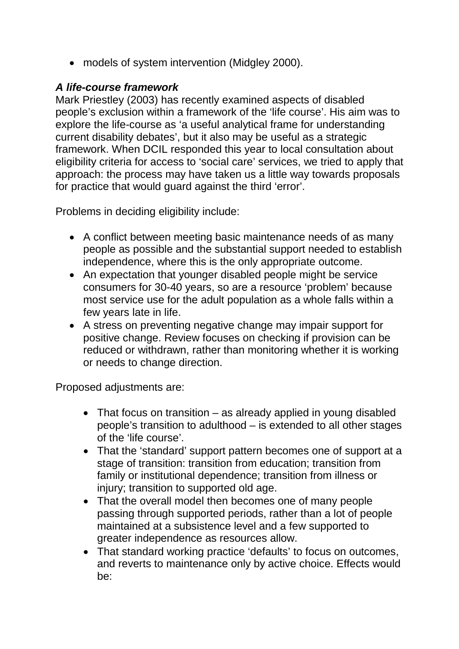• models of system intervention (Midgley 2000).

## *A life-course framework*

Mark Priestley (2003) has recently examined aspects of disabled people's exclusion within a framework of the 'life course'. His aim was to explore the life-course as 'a useful analytical frame for understanding current disability debates', but it also may be useful as a strategic framework. When DCIL responded this year to local consultation about eligibility criteria for access to 'social care' services, we tried to apply that approach: the process may have taken us a little way towards proposals for practice that would guard against the third 'error'.

Problems in deciding eligibility include:

- A conflict between meeting basic maintenance needs of as many people as possible and the substantial support needed to establish independence, where this is the only appropriate outcome.
- An expectation that younger disabled people might be service consumers for 30-40 years, so are a resource 'problem' because most service use for the adult population as a whole falls within a few years late in life.
- A stress on preventing negative change may impair support for positive change. Review focuses on checking if provision can be reduced or withdrawn, rather than monitoring whether it is working or needs to change direction.

Proposed adjustments are:

- That focus on transition as already applied in young disabled people's transition to adulthood – is extended to all other stages of the 'life course'.
- That the 'standard' support pattern becomes one of support at a stage of transition: transition from education; transition from family or institutional dependence; transition from illness or injury; transition to supported old age.
- That the overall model then becomes one of many people passing through supported periods, rather than a lot of people maintained at a subsistence level and a few supported to greater independence as resources allow.
- That standard working practice 'defaults' to focus on outcomes, and reverts to maintenance only by active choice. Effects would be: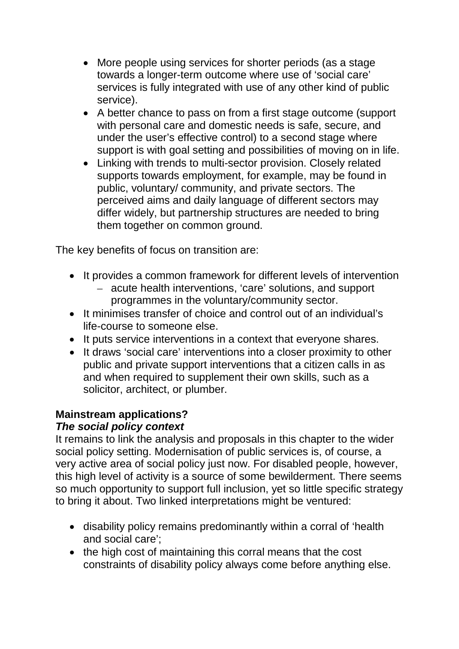- More people using services for shorter periods (as a stage towards a longer-term outcome where use of 'social care' services is fully integrated with use of any other kind of public service).
- A better chance to pass on from a first stage outcome (support with personal care and domestic needs is safe, secure, and under the user's effective control) to a second stage where support is with goal setting and possibilities of moving on in life.
- Linking with trends to multi-sector provision. Closely related supports towards employment, for example, may be found in public, voluntary/ community, and private sectors. The perceived aims and daily language of different sectors may differ widely, but partnership structures are needed to bring them together on common ground.

The key benefits of focus on transition are:

- It provides a common framework for different levels of intervention
	- acute health interventions, 'care' solutions, and support programmes in the voluntary/community sector.
- It minimises transfer of choice and control out of an individual's life-course to someone else.
- It puts service interventions in a context that everyone shares.
- It draws 'social care' interventions into a closer proximity to other public and private support interventions that a citizen calls in as and when required to supplement their own skills, such as a solicitor, architect, or plumber.

# **Mainstream applications?**

# *The social policy context*

It remains to link the analysis and proposals in this chapter to the wider social policy setting. Modernisation of public services is, of course, a very active area of social policy just now. For disabled people, however, this high level of activity is a source of some bewilderment. There seems so much opportunity to support full inclusion, yet so little specific strategy to bring it about. Two linked interpretations might be ventured:

- disability policy remains predominantly within a corral of 'health and social care';
- the high cost of maintaining this corral means that the cost constraints of disability policy always come before anything else.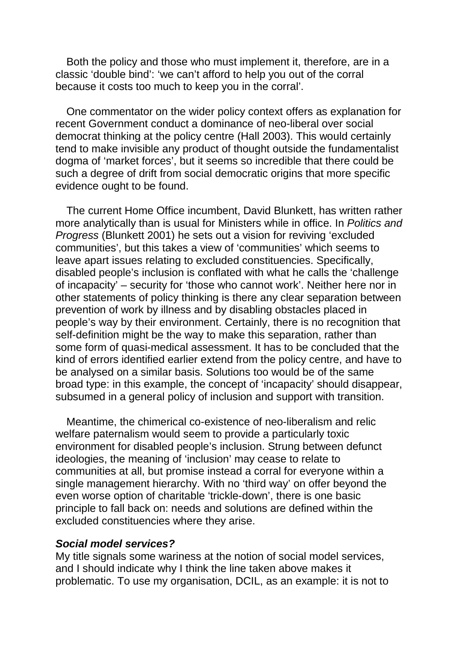Both the policy and those who must implement it, therefore, are in a classic 'double bind': 'we can't afford to help you out of the corral because it costs too much to keep you in the corral'.

One commentator on the wider policy context offers as explanation for recent Government conduct a dominance of neo-liberal over social democrat thinking at the policy centre (Hall 2003). This would certainly tend to make invisible any product of thought outside the fundamentalist dogma of 'market forces', but it seems so incredible that there could be such a degree of drift from social democratic origins that more specific evidence ought to be found.

The current Home Office incumbent, David Blunkett, has written rather more analytically than is usual for Ministers while in office. In *Politics and Progress* (Blunkett 2001) he sets out a vision for reviving 'excluded communities', but this takes a view of 'communities' which seems to leave apart issues relating to excluded constituencies. Specifically, disabled people's inclusion is conflated with what he calls the 'challenge of incapacity' – security for 'those who cannot work'. Neither here nor in other statements of policy thinking is there any clear separation between prevention of work by illness and by disabling obstacles placed in people's way by their environment. Certainly, there is no recognition that self-definition might be the way to make this separation, rather than some form of quasi-medical assessment. It has to be concluded that the kind of errors identified earlier extend from the policy centre, and have to be analysed on a similar basis. Solutions too would be of the same broad type: in this example, the concept of 'incapacity' should disappear, subsumed in a general policy of inclusion and support with transition.

Meantime, the chimerical co-existence of neo-liberalism and relic welfare paternalism would seem to provide a particularly toxic environment for disabled people's inclusion. Strung between defunct ideologies, the meaning of 'inclusion' may cease to relate to communities at all, but promise instead a corral for everyone within a single management hierarchy. With no 'third way' on offer beyond the even worse option of charitable 'trickle-down', there is one basic principle to fall back on: needs and solutions are defined within the excluded constituencies where they arise.

#### *Social model services?*

My title signals some wariness at the notion of social model services, and I should indicate why I think the line taken above makes it problematic. To use my organisation, DCIL, as an example: it is not to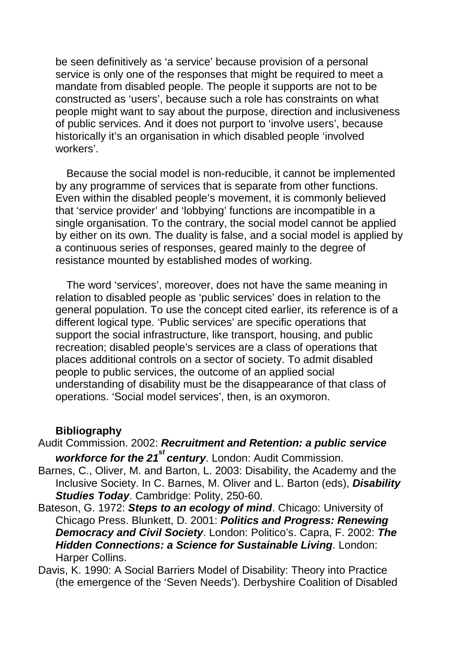be seen definitively as 'a service' because provision of a personal service is only one of the responses that might be required to meet a mandate from disabled people. The people it supports are not to be constructed as 'users', because such a role has constraints on what people might want to say about the purpose, direction and inclusiveness of public services. And it does not purport to 'involve users', because historically it's an organisation in which disabled people 'involved workers'.

Because the social model is non-reducible, it cannot be implemented by any programme of services that is separate from other functions. Even within the disabled people's movement, it is commonly believed that 'service provider' and 'lobbying' functions are incompatible in a single organisation. To the contrary, the social model cannot be applied by either on its own. The duality is false, and a social model is applied by a continuous series of responses, geared mainly to the degree of resistance mounted by established modes of working.

The word 'services', moreover, does not have the same meaning in relation to disabled people as 'public services' does in relation to the general population. To use the concept cited earlier, its reference is of a different logical type. 'Public services' are specific operations that support the social infrastructure, like transport, housing, and public recreation; disabled people's services are a class of operations that places additional controls on a sector of society. To admit disabled people to public services, the outcome of an applied social understanding of disability must be the disappearance of that class of operations. 'Social model services', then, is an oxymoron.

#### **Bibliography**

Audit Commission. 2002: *Recruitment and Retention: a public service*  workforce for the 21<sup>st</sup> century. London: Audit Commission.

- Barnes, C., Oliver, M. and Barton, L. 2003: Disability, the Academy and the Inclusive Society. In C. Barnes, M. Oliver and L. Barton (eds), *Disability Studies Today*. Cambridge: Polity, 250-60.
- Bateson, G. 1972: *Steps to an ecology of mind*. Chicago: University of Chicago Press. Blunkett, D. 2001: *Politics and Progress: Renewing Democracy and Civil Society*. London: Politico's. Capra, F. 2002: *The Hidden Connections: a Science for Sustainable Living*. London: Harper Collins.
- Davis, K. 1990: A Social Barriers Model of Disability: Theory into Practice (the emergence of the 'Seven Needs'). Derbyshire Coalition of Disabled